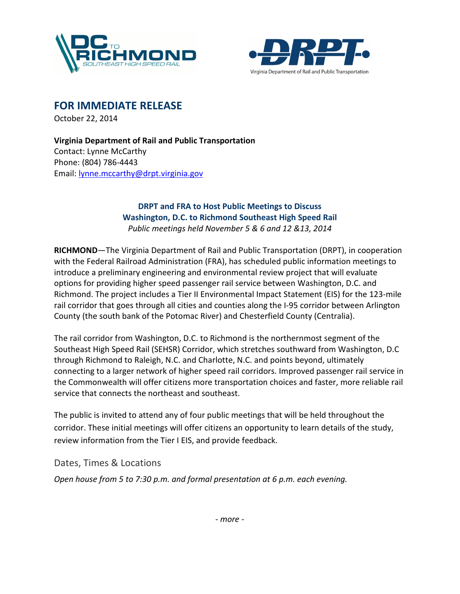



FOR IMMEDIATE RELEASE

October 22, 2014

Virginia Department of Rail and Public Transportation Contact: Lynne McCarthy Phone: (804) 786-4443 Email: lynne.mccarthy@drpt.virginia.gov

## DRPT and FRA to Host Public Meetings to Discuss Washington, D.C. to Richmond Southeast High Speed Rail Public meetings held November 5 & 6 and 12 &13, 2014

RICHMOND—The Virginia Department of Rail and Public Transportation (DRPT), in cooperation with the Federal Railroad Administration (FRA), has scheduled public information meetings to introduce a preliminary engineering and environmental review project that will evaluate options for providing higher speed passenger rail service between Washington, D.C. and Richmond. The project includes a Tier II Environmental Impact Statement (EIS) for the 123-mile rail corridor that goes through all cities and counties along the I-95 corridor between Arlington County (the south bank of the Potomac River) and Chesterfield County (Centralia).

The rail corridor from Washington, D.C. to Richmond is the northernmost segment of the Southeast High Speed Rail (SEHSR) Corridor, which stretches southward from Washington, D.C through Richmond to Raleigh, N.C. and Charlotte, N.C. and points beyond, ultimately connecting to a larger network of higher speed rail corridors. Improved passenger rail service in the Commonwealth will offer citizens more transportation choices and faster, more reliable rail service that connects the northeast and southeast.

The public is invited to attend any of four public meetings that will be held throughout the corridor. These initial meetings will offer citizens an opportunity to learn details of the study, review information from the Tier I EIS, and provide feedback.

Dates, Times & Locations

Open house from 5 to 7:30 p.m. and formal presentation at 6 p.m. each evening.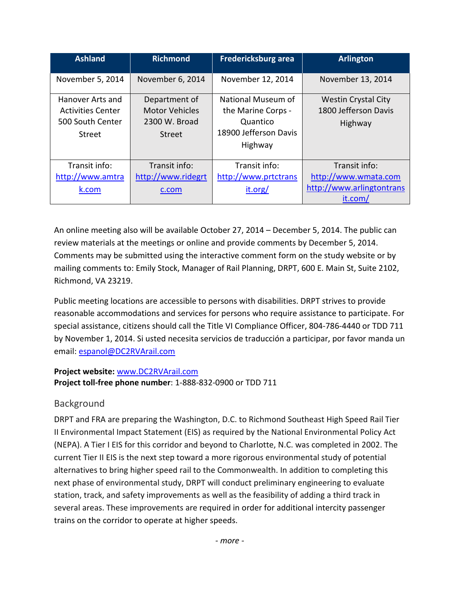| <b>Ashland</b>                                                             | <b>Richmond</b>                                                   | <b>Fredericksburg area</b>                                                               | <b>Arlington</b>                                                              |
|----------------------------------------------------------------------------|-------------------------------------------------------------------|------------------------------------------------------------------------------------------|-------------------------------------------------------------------------------|
| November 5, 2014                                                           | November 6, 2014                                                  | November 12, 2014                                                                        | November 13, 2014                                                             |
| Hanover Arts and<br><b>Activities Center</b><br>500 South Center<br>Street | Department of<br><b>Motor Vehicles</b><br>2300 W. Broad<br>Street | National Museum of<br>the Marine Corps -<br>Quantico<br>18900 Jefferson Davis<br>Highway | <b>Westin Crystal City</b><br>1800 Jefferson Davis<br>Highway                 |
| Transit info:<br>http://www.amtra<br>k.com                                 | Transit info:<br>http://www.ridegrt<br>c.com                      | Transit info:<br>http://www.prtctrans<br>it.org/                                         | Transit info:<br>http://www.wmata.com<br>http://www.arlingtontrans<br>it.com/ |

An online meeting also will be available October 27, 2014 – December 5, 2014. The public can review materials at the meetings or online and provide comments by December 5, 2014. Comments may be submitted using the interactive comment form on the study website or by mailing comments to: Emily Stock, Manager of Rail Planning, DRPT, 600 E. Main St, Suite 2102, Richmond, VA 23219.

Public meeting locations are accessible to persons with disabilities. DRPT strives to provide reasonable accommodations and services for persons who require assistance to participate. For special assistance, citizens should call the Title VI Compliance Officer, 804-786-4440 or TDD 711 by November 1, 2014. Si usted necesita servicios de traducción a participar, por favor manda un email: espanol@DC2RVArail.com

## Project website: www.DC2RVArail.com Project toll-free phone number: 1-888-832-0900 or TDD 711

## Background

DRPT and FRA are preparing the Washington, D.C. to Richmond Southeast High Speed Rail Tier II Environmental Impact Statement (EIS) as required by the National Environmental Policy Act (NEPA). A Tier I EIS for this corridor and beyond to Charlotte, N.C. was completed in 2002. The current Tier II EIS is the next step toward a more rigorous environmental study of potential alternatives to bring higher speed rail to the Commonwealth. In addition to completing this next phase of environmental study, DRPT will conduct preliminary engineering to evaluate station, track, and safety improvements as well as the feasibility of adding a third track in several areas. These improvements are required in order for additional intercity passenger trains on the corridor to operate at higher speeds.